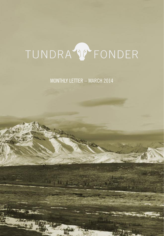# TUNDRA V FONDER

MONTHLY LETTER – MARCH 2014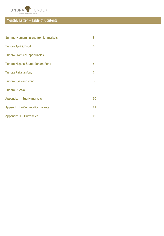

## Monthly Letter – Table of Contents

| Summary emerging and frontier markets | 3  |
|---------------------------------------|----|
| Tundra Agri & Food                    | 4  |
| <b>Tundra Frontier Opportunities</b>  | 5  |
| Tundra Nigeria & Sub-Sahara Fund      | 6  |
| <b>Tundra Pakistanfond</b>            | 7  |
| <b>Tundra Rysslandsfond</b>           | 8  |
| <b>Tundra QuAsia</b>                  | 9  |
| Appendix I - Equity markets           | 10 |
| Appendix II - Commodity markets       | 11 |
| Appendix III - Currencies             | 12 |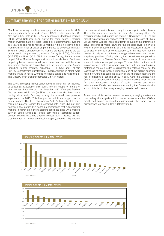

### Summary emerging and frontier markets – March 2014

March was a strong month for emerging and frontier markets. MSCI Emerging Markets Net rose 4.1% while MSCI Frontier Markets xGCC Net rose 2.6% (both in SEK). As a benchmark, developed markets (MSCI World Net) rose 1.2% during the same period. Emerging market investors have not been spoiled by outperformance over the past year and one has to retreat 15 months in time in order to find a month with a similar or bigger outperformance vs developed markets. Several of 2013's underperforming markets are found among the top performers in the past month, including Turkey (+18.0%), Colombia (+16.9%) and Brazil (+12.1%). In the case of Turkey, the market was helped Prime Minister Erdogan's victory in local elections. Brazil was helped by better than expected macro news combined with hopes of government changes in conjunction with the October election. Among individual frontier markets, Argentina (+17.6%) and Pakistan (+9.7%) outperformed substantially. Underperformers in March were markets linked to Russia (Ukraine, the Baltic states, and Kazakhstan). The Moscow stock exchange retreated 1.5% in March.

The strong emerging market performance in March can be ascribed to substantial expectation cuts during the last couple of months of bear market. Since the peak in November MSCI Emerging Markets Net has retreated 11.3% (in SEK). US rates have also been range trading since early February lacking the upward rate pressure experienced in 2013. This has provided additional support to the equity market. The FED Chairwoman Yellen's hawkish statements regarding potential earlier than expected rate hikes did not gain traction in the market. It is hence no coincidence that outperforming markets in March are current account deficit countries while markets such as South Korea and Taiwan, both with a substantial current account surplus, have had a rather modest return. Instead, we note that the emerging market price/book multiple (currently 1.5x) touched

one standard deviation below its long term average in early February. This is the same level touched in June 2013 kicking off a 15% emerging market bull market run ending in November 2013. The low market expectations are perhaps most obvious in the case of China. Citi Economic Surprise Index, an attempt to quantify the difference in actual outcome of macro news and the expected level, is now at a level of macro disappointment for China last observed in 2009. The other side of the coin of low expectations, is that not very much is needed to trigger a sentiment change where news are instead surprising positively. During March, the market was supported by speculation that the Chinese Central Government would announce an economic reform or support package. This was later confirmed as it was announced that going forward companies will be allowed to issue preference shares in order to strengthen the balance sheet, not the least those of banks. Keep in mind that one of the biggest concerns related to China has been the stability of the financial sector and the risk of triggering a banking crisis. In early April, the Chinese State Council also announced a stimulus package including lower tax rates for small companies, funding of social housing and urban infrastructure. Finally, less tension surrounding the Crimea situation also contributed to the strong emerging markets performance.

As we have pointed out on several occasions, emerging markets are now trading with a significant discount vs developed markets (30% at month end March measured as price/book). The same level of discount was last seen in late 2004/early 2005.





Source: Bloomberg

March 2014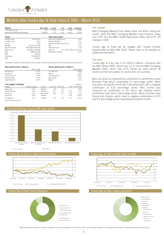

# Monthly letter Tundra Agri & Food (class A, SEK) — March 2014<br>Return NAV (SEK) 1 month YTD 1 year Inception The m

| Return                           |                      | NAV (SEK) | 1 month                       | YTD  | 1 year  | Inception                            |
|----------------------------------|----------------------|-----------|-------------------------------|------|---------|--------------------------------------|
| Tundra Agri & Food               |                      | 87.7      | 5.1%                          | 2.1% | $-7.4%$ | $-12.3%$                             |
| Benchmark (MSCI World Net (SEK)) |                      | 28444.1   | 1.2%                          | 2.2% | 18.5%   | 32.9%                                |
| Facts                            |                      |           | Risk and costs*               |      |         |                                      |
| Inception date                   | 2012-02-03           |           | Active risk (Tracking error)  |      |         | 9.5%                                 |
| Inception price                  | 100.0                |           | Standard deviation            |      |         | 9.1%                                 |
| Pricing                          | Daily                |           | Standard deviation, benchmark |      |         | 6.2%                                 |
| Manager                          | Tundra Fonder AB     |           | <b>Beta</b>                   |      |         | 0.41                                 |
| Benchmark index                  | MSCI World Net (SEK) |           | Information ratio             |      |         | $-2.36$                              |
| Bank account                     | SEB 5851-1076239     |           | Risk level                    |      |         | 7 of 7 (refer to KIID for more info) |
| <b>ISIN</b>                      | SE0004211290         |           | Management fee/year           |      |         | 2.5%                                 |
| <b>PPM</b>                       | 632315               |           |                               |      |         |                                      |
| <b>Bloomberg</b>                 | <b>TUNDAGFSS</b>     |           |                               |      |         |                                      |
| AuM                              | 2.8 MSEK             |           |                               |      |         |                                      |

*\* Risk indicators are based on monthly rolling 24 months of return data. Funds with inception date within 24 months use weekly return data since inception.*

| Best performers in March |                  |             | Worst performers in March |                  |       |              |
|--------------------------|------------------|-------------|---------------------------|------------------|-------|--------------|
|                          | Return (SEK)     |             |                           |                  |       | Return (SEK) |
| Packages Ltd             | 27.5%            |             | X 5 Retail-Gdr            |                  |       | $-10.8%$     |
| Shezan Intl              | 25.6%            |             | Kernel                    |                  |       | $-8.3%$      |
| Lojas Americ-Prf         | 21.4%            |             | China Agri-Indus          |                  |       | $-8.0%$      |
| Shoprite HIdgs           | 17.4%            |             | Mhp Sa-Gdr                |                  |       | $-7.8%$      |
| Tiger Brands Ltd         | 14.7%            |             | Magnit                    |                  |       | $-5.1%$      |
| Five largest holdings    |                  |             |                           |                  |       | Return 1     |
| Holding                  | Portfolio weight | Country     | P/E 2013A                 | <b>P/E 2014E</b> | Yield | month (SEK)  |
| Engro Corp               | 6.7%             | Pakistan    | 11.8                      | 9.1              |       | 9.8%         |
| Indofood Sukses          | 6.4%             | Indonesia   | 19.7                      | 15.1             | 2.6%  | 5.1%         |
| Almarai Co               | 6.3%             | Saudi Arabi | 25.9                      | 21.7             | 1.5%  | 3.3%         |
| Shezan Intl              | 5.8%             | Pakistan    | ٠                         | ۰                | 1.0%  | 25.6%        |
| Packages Ltd             | 5.2%             | Pakistan    | 17.6                      | 15.1             | 2.1%  | 27.5%        |





March 2014

Source: Bloomberg





Tundra Agri & Food MSCI World Total Return Net Source: Bloomberg



#### The market

MSCI Emerging Markets Food Retail Index rose 8.8% during the month, while the MSCI Emerging Markets Food Products Index rose 3.4% and the MSCI Global Agriculture Index rose 5.0%. All changes in SEK.

Tundra Agri & Food will be merged with Tundra Frontier Opportunities by May 28th 2014. Please refer to our website for additional information.

### The fund

Tundra Agri & Food rose 5.1% (SEK) in March, compared with the MSCI World (SEK), which rose 1.2 % and the MSCI Emerging Markets (SEK), which rose 4.1% during the same period. At month end the fund owned 21 stocks from 10 countries.

Best sub-sector as measured by contribution to performance were Branded Food which contributed 2.5 percentage points. Worst sub-sector during the month was Food production with a negative contribution of 0.25 percentage points. Best country also measured as contribution to the return was Pakistan which contributed more than 3 percentage points. Worst countries were Russia and Ukraine, which made a negative contribution of 0.75 and 0.5 percentage points respectively during the month.



106





More information about our funds is available in the full prospectus or the KIID of each fund. Please contact us in case you would like us to send these documents to you.

140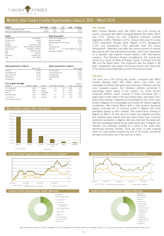

## Monthly letter Tundra Frontier Opportunities (class A, SEK) — March 2014<br> **Return MAV (SEK)** 1 month YTD 1 year Inception The market

| Return                             |                        | <b>NAV (SEK)</b> | 1 month                       | YTD     | 1 vear | Inception                            |
|------------------------------------|------------------------|------------------|-------------------------------|---------|--------|--------------------------------------|
| Tundra Frontier Opportunities      |                        | 123.6            | 5.0%                          | 6.3%    |        | 23.6%                                |
| Benchmark (MSCI FM xGCC Net (SEK)) |                        | 4435.8           | 2.6%                          | $-0.2%$ |        | 10.1%                                |
| Facts                              |                        |                  | Risk and costs*               |         |        |                                      |
| Inception date                     | 2013-04-02             |                  | Active risk (Tracking error)  |         |        | 8.2%                                 |
| Inception price                    | 100.00                 |                  | Standard deviation            |         |        | 12.6%                                |
| Pricing                            | Daily                  |                  | Standard deviation, benchmark |         |        | 13.1%                                |
| Manager                            | Tundra Fonder AB       |                  | Beta                          |         |        | 0.77                                 |
| Benchmark index                    | MSCI FM xGCC Net (SEK) |                  | Information ratio             |         |        | 1.71                                 |
| Bank account                       | SEB 5851-1078355       |                  | Risk level                    |         |        | 7 of 7 (refer to KIID for more info) |
| <b>ISIN</b>                        | SE0004211282           |                  | Management fee/year           |         |        | 2.5%                                 |
| PPM                                | 861229                 |                  |                               |         |        |                                      |
| Bloomberg                          | <b>TUNDEROSS</b>       |                  |                               |         |        |                                      |
| AuM                                | 565.1 MSEK             |                  |                               |         |        |                                      |

*\* Risk indicators are based on monthly rolling 24 months of return data. Funds with inception date within 24 months use weekly return data since inception.*

| Best performers in March         |                  |            | Worst performers in March |           |       |              |
|----------------------------------|------------------|------------|---------------------------|-----------|-------|--------------|
|                                  | Return (SEK)     |            |                           |           |       | Return (SEK) |
| Thal I td                        | 34.7%            |            | Intercontinental          |           |       | $-20.3%$     |
| United Bank Ltd                  | 34.6%            |            | Uchumi Supermark          |           |       | $-18.7%$     |
| Engro Foods Ltd                  | 31.3%            |            | Flour Mills Nig           |           |       | $-12.0%$     |
| Pak State Oil                    | 27.7%            |            | <b>United Bank Afr</b>    |           |       | $-9.8%$      |
| Packages Ltd                     | 27.5%            |            | Kcell                     |           |       | $-7.1%$      |
| Five largest holdings            |                  |            |                           |           |       | Return 1     |
| Holding                          | Portfolio weight | Country    | P/E 2013A                 | P/E 2014E | Yield | month (SEK)  |
| Fbn Holdings Plc                 | 4.2%             | Nigeria    | 5.3                       | 4.9       | 8.0%  | $-3.9%$      |
| Zenith Bank Plc.                 | 3.8%             | Nigeria    | 6.9                       | 6.1       | 8.2%  | 7.1%         |
| Kmg Ep                           | 3.2%             | Kazakhstan |                           | 4.3       | 12.7% | $-3.2%$      |
| Oil & Gas Develo                 | 2.9%             | Pakistan   | 9.7                       | 7.8       | 3.3%  | $-0.9%$      |
| Lucky Cement                     | 2.8%             | Pakistan   | 10.6                      | 9.3       | 2.2%  | 4.9%         |
| Source: Bloomberg, Tundra Fonder |                  |            |                           |           |       |              |

### Major frontier markets (SEK, total return)









#### The market

MSCI Frontier Markets xGCC Net (SEK) rose 2.6% during the month, compared with MSCI Emerging Markets Net (SEK), which rose 4.1%. Among the most important individual markets Argentina (+18%), Pakistan (+10%), Kenya (+6%) and Sri Lanka (+5%) performed strongly while Nigeria (+1%), Bangladesh (+1%) and Kazakhstan (-4%) detracted from the overall development. Argentina rose after the announcement of positive discussions with new international lenders, which was interpreted as a possible step towards normal relations with international investors. The Pakistani Rupee strengthened 6% during the month as a result of inflow of foreign capital, including from the IMF and the World Bank. The movement was the largest in 30 years. Kazakhstan was drawn into Russia worries with sharp falls in the shares historically held by some of the Russia funds.

#### The fund

The fund rose 5.0% during the month, compared with MSCI Frontier Markets xGCC Net (SEK), which rose 2.6%. Our overweight combined with good stock picking in Pakistan was the most important reason. Our Pakistani portfolio performed 5 percentage points ahead of the market. Our South African consumer portfolio, which consists of three companies with a large share of their sales in the Sub-Sahara area, rose about 14%. Good stock picking in Argentina (concentrated to two of the major banks) mitigated our underweight and limited the relative negative contribution. We entered March with a very cautious approach seeing continued risk of currency unrest in Nigeria that could potentially spread to other markets. The central bank meeting in Nigeria on March 25 that did not contain any negative surprises and relatively good reports from the major banks have improved sentiment somewhat in Nigeria. We also note that the large selloffs from emerging markets funds, particularly seen in Nigeria and Pakistan has subsided, possibly as a result of the asset class performing decently recently. Thus, we chose to start drawing down our cash position towards the end of the month, something we have continued to do in the start-up of April.



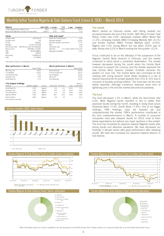

## Monthly letter Tundra Nigeria & Sub-Sahara Fund (class A, SEK) – March 2014<br>Return NAV (SEK) 1 month YTD 1 year Inception The market

| Return                           |                                                | <b>NAV (SEK)</b> | 1 month                       | YTD      | 1 vear | Inception                            |
|----------------------------------|------------------------------------------------|------------------|-------------------------------|----------|--------|--------------------------------------|
| Tundra Nigeria & Sub-Sahara Fund |                                                | 83.5             | $-1.2%$                       | $-10.8%$ | ۰      | $-16.5%$                             |
|                                  | Benchmark (S&P Africa Frontier TR Index (SEK)) | 12059.1          | 0.4%                          | $-7.6%$  |        | $-7.7%$                              |
| Facts                            |                                                |                  | Risk and costs*               |          |        |                                      |
| Inception date                   | 2013-05-20                                     |                  | Active risk (Tracking error)  |          |        | 3.4%                                 |
| Inception price                  | 100                                            |                  | Standard deviation            |          |        | 16.6%                                |
| Pricing                          | Dagligen                                       |                  | Standard deviation, benchmark |          |        | 17.7%                                |
| Manager                          | Tundra Fonder AB                               |                  | Beta                          |          |        | 0.92                                 |
| Benchmark index                  | S&P Africa Frontier TR Index(SEK)              |                  | Information ratio             |          |        | $-2.35$                              |
| Bank account                     | SEB 5851-1101667                               |                  | Risk level                    |          |        | 7 of 7 (refer to KIID for more info) |
| <b>ISIN</b>                      | SE0005188091                                   |                  | Management fee/year           |          |        | 2.5%                                 |
| <b>PPM</b>                       | 878223                                         |                  |                               |          |        |                                      |
| <b>Bloomberg</b>                 | <b>TUNDNIG SS</b>                              |                  |                               |          |        |                                      |
| AuM                              | 15.4 MSFK                                      |                  |                               |          |        |                                      |

*\* Risk indicators are based on monthly rolling 24 months of return data. Funds with inception date within 24 months use weekly return data since inception.*

| Best performers in March         |                  |         | Worst performers in March |      |       |              |
|----------------------------------|------------------|---------|---------------------------|------|-------|--------------|
|                                  | Return (SEK)     |         |                           |      |       | Return (SEK) |
| Mtn Group Ltd                    | 16.3%            |         | Intercontinental          |      |       | $-20.3%$     |
| 7-Up Botting                     | 10.0%            |         | Uchumi Supermark          |      |       | $-18.7%$     |
| Enb Namibia Hold                 | 7.4%             |         | Uac Of Nigeria            |      |       | $-15.6%$     |
| <b>Guaranty Trust</b>            | 7.4%             |         | Oando Plc.                |      |       | $-15.2%$     |
| Zenith Bank Plc.                 | 7.1%             |         | Flour Mills Nig           |      |       | $-12.0%$     |
| Five largest holdings            |                  |         |                           |      |       | Return 1     |
| Holding                          | Portfolio weight | Country | P/E 2013A P/E 2014E       |      | Yield | month (SEK)  |
| Zenith Bank Plc.                 | 9.5%             | Nigeria | 6.9                       | 6.1  | 8.2%  | 7.1%         |
| <b>Guaranty Trust</b>            | 7.5%             | Nigeria | 8.4                       | 7.6  | 6.5%  | 7.4%         |
| Fbn Holdings Plc                 | 6.3%             | Nigeria | 5.3                       | 4.9  | 8.0%  | $-3.9%$      |
| Nigerian Brewer                  | 5.8%             | Nigeria | 28.7                      | 24.4 | 3.0%  | 4.8%         |
| Diamond Bank                     | 4.8%             | Nigeria | 3.8                       | 3.3  | ٠     | $-3.1%$      |
| Source: Bloomberg, Tundra Fonder |                  |         |                           |      |       |              |





March 2014

Source: Bloomberg

75 80 85  $\alpha$ 95 100 105 2013-05-20 2013-07-20 2013-09-20 2013-11-20 2014-01-20 2014-03-20 Tundra S&P Africa Frontier Total Return Index **Source: Bloomberg Source: Bloomberg**<br>Source: Bloomberg



#### The market

March started as February ended, with falling markets but recovered towards the end of the month. S&P Africa Frontier Total Return Index rose 0.4%, developed markets (MSCI World Net +1.2%), emerging markets (MSCI Emerging Markets Net +4.1%) and frontier markets (MSCI Frontier Markets xGCC +2.6%). Nigeria rose 1.0% during March but has fallen 10,6% year to date. Kenya rose 5,5% in March ending the first quarter +3,2%.

Focus continued to be on the afterplay of the suspension of the Nigerian Central Bank Govenor in February, and the market continued to worry about a pontential devalutation. The anxiety however decreased during the month when the Central Bank continued to support the currency and the Senate approved the new Central Bank Govenor (Godwin Emefiele assumes the position on June 1st). The Central Bank also concluded its first meeting with acting Govenor Sarah Alade resulting in a rise of reserve requirements for private deposits from 12% to 15% due to concerns of liquidity pushing inflation. The move was not the most widely expected, although consensus expected some form of tightening and in the end the market perceived its positively.

### The fund

The fund decreased 1.2% in March, while the benchmark rose 0.3%. Most Nigerian banks reported in line or better than expected results during the month, resulting in rising share prices (Guaranty Bank +7.4%, Zenith Bank +7.4%). One of our bigger holdings, FBN Holdings, have not reported yet and underperformed the market. FBN's performance contributed to the fund underperformance in March. A number of consumer companies have also released results for 2013, most of them below expectations but without any major reactions in the market. The fund has increased its exposure towards Nigerian banks after strong results and attractive valuations. We have decreased our holdings in Kenyan banks after good performance after releasing results. We have also increased our exposure towards telecom in Sub-Sahara.



Tundra Nigeria & Sub-Sahara Fund: Sector allocation Tundra Nigeria & Sub-Sahara Fund: Country allocation

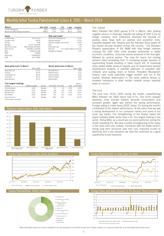

## Monthly letter Tundra Pakistanfond (class A, SEK) — March 2014<br>Return NAV (SEK) 1 month YTD 1 year Inception The mari

| Return                              |                         | <b>NAV (SEK)</b> | 1 month                       | YTD   | 1 vear | Inception                            |
|-------------------------------------|-------------------------|------------------|-------------------------------|-------|--------|--------------------------------------|
| Tundra Pakistanfond                 |                         | 198.7            | 13.6%                         | 18.5% | 60.7%  | 98.7%                                |
| Benchmark (MSCI Pakistan Net (SEK)) |                         | 4805.0           | 9.7%                          | 7.6%  | 38.2%  | 64.8%                                |
| Facts                               |                         |                  | Risk and costs*               |       |        |                                      |
| Inception date                      | 2011-10-14              |                  | Active risk (Tracking error)  |       |        | 11.3%                                |
| Inception price                     | 100.00                  |                  | Standard deviation            |       |        | 21.0%                                |
| Pricing                             | Daily                   |                  | Standard deviation, benchmark |       |        | 19.3%                                |
| Manager                             | Tundra Fonder AB        |                  | <b>Beta</b>                   |       |        | 0.92                                 |
| Benchmark index                     | MSCI Pakistan Net (SEK) |                  | Information ratio             |       |        | 1.47                                 |
| Bank account                        | SEB 5851-1076190        |                  | Risk level                    |       |        | 7 of 7 (refer to KIID for more info) |
| <b>ISIN</b>                         | SE0004211308            |                  | Management fee/year           |       |        | 2.5%                                 |
| PPM                                 | 705806                  |                  |                               |       |        |                                      |
| Bloom berg                          | <b>TUNDPAK SS</b>       |                  |                               |       |        |                                      |
| AuM                                 | 421.7 MSEK              |                  |                               |       |        |                                      |

*\* Risk indicators are based on monthly rolling 24 months of return data. Funds with inception date within 24 months use weekly return data since inception.*

| Best performers in March         |                  |          |                      | Worst performers in March |       |              |
|----------------------------------|------------------|----------|----------------------|---------------------------|-------|--------------|
|                                  | Return (SEK)     |          |                      |                           |       | Return (SEK) |
| Askari Bank Ltd                  | 37.1%            |          | Nishat Mills I td    |                           |       | $-4.8%$      |
| Thal I td                        | 34.7%            |          | Nishat Chunian       |                           |       | $-4.1%$      |
| United Bank Ltd                  | 34.6%            |          | Oil & Gas Develo     |                           |       | $-0.9%$      |
| <b>Tarig Glass</b>               | 34.1%            |          | Shifa In Hospita     |                           |       | $-0.4%$      |
| Allied Bank Ltd                  | 32.1%            |          | <b>Bata Pakistan</b> |                           |       | 3.9%         |
| Five largest holdings            |                  |          |                      |                           |       | Return 1     |
| Holding                          | Portfolio weight | Country  | P/E 2013A P/E 2014E  |                           | Yield | month (SEK)  |
| Oil & Gas Develo                 | 6.6%             | Pakistan | 9.7                  | 7.8                       | 3.3%  | $-0.9%$      |
| Pakistan Petrole                 | 4.7%             | Pakistan | 9.8                  | 8.5                       | 4.3%  | 13.2%        |
| Mcb Bank Ltd                     | 4.6%             | Pakistan | 12.8                 | 11.3                      | 4.7%  | 12.2%        |
| Pak Oilfields                    | 4.5%             | Pakistan | 10.5                 | 8.7                       | 8.2%  | 17.5%        |
| Engro Foods Ltd                  | 4.3%             | Pakistan | 48.6                 | 42.4                      | ۰     | 31.3%        |
| Source: Bloomberg, Tundra Fonder |                  |          |                      |                           |       |              |







**MSCI Pakistan TR Net** Source: Bloomberg **Source: Bloomberg Source: Bloomberg** Tundra Pakistanfond **Source: Bloomberg Source: Bloomberg** 



#### The market

MSCI Pakistan Net (SEK) gained 9.7% in March, after posting negative returns in February. Despite net selling of USD 5.2m by foreign investors, local institutions absorbed the liquidity on positive news flows both on political and economic ends. Ceasefire between the Talibans and the Pakistan Army eased off the tensed security situation across the country. The Pakistani Rupee's appreciation of 6% MoM with total foreign reserves crossing the USD 10bn mark boosted sentiments in better economic conditions, consumer names remained in the lime light, followed by cyclical sectors. The case for macro led rerating remains intact emanating from 1) increasing foreign reserves 2) appreciating Rupee resulting in lower import bill, 3) improving value added textile products exports and 4) Government backed development projects. A possible extension in ceasefire with militants and scaling down of former President Musharraf's treason case could potentially trigger another bull run in the market, whereas deterioration in the same political factors or renewed turbulence in other frontier markets remain potential areas of concern.

### The fund

The fund rose 13.6% (SEK) during the month, outperforming MSCI Pakistan net (SEK) which rose 9.7%. The fund's broader exposure, more oriented towards domestic consumption and domestic growth, again was behind the strong performance. Foreign selling in index heavy OGDC (down 1% during the month) contributed to the relative performance. At the same time we saw a strong development in our consumer names and some of our small cap banks. The strengthening of the Rupee meant the export oriented textile sector took a hit. Our largest holding in the sector, Nishat Mills, as a result was our worst performer during the month shedding 5%. We view a further strengthening of the rupee in the short term very unlikely. Combined with the textile sector's strong long term structural case (low cost, improved access to electricity and a low valuation) we view the correction as a good opportunity to add exposure.





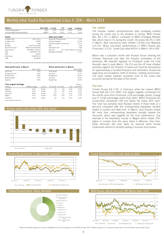

# Monthly letter Tundra Rysslandsfond (class A, SEK) — March 2014<br>Return NAV (SEK) 1 month YTD 1 year Inception The marke

| Return                            |                       | NAV (SEK) | 1 month                       | YTD      | 1 year   | Inception                            |
|-----------------------------------|-----------------------|-----------|-------------------------------|----------|----------|--------------------------------------|
| Tundra Rysslandsfond              |                       | 83.4      | $-5.3%$                       | $-15.7%$ | $-10.9%$ | $-16.7%$                             |
| Jmf-index (MSCI Russia Net (SEK)) |                       | 3608.3    | $-1.5%$                       | $-13.9%$ | $-11.1%$ | $-6.5%$                              |
| Facts                             |                       |           | Risk and costs*               |          |          |                                      |
| Inception date                    | 2011-10-14            |           | Active risk (Tracking error)  |          |          | 7.1%                                 |
| Inception price                   | 100.00                |           | Standard deviation            |          |          |                                      |
| Pricing                           | Daily                 |           | Standard deviation, benchmark |          |          | 15.1%                                |
| Manager                           | Tundra Fonder AB      |           | <b>Beta</b>                   |          |          | 1.02                                 |
| Benchmark index                   | MSCI Russia Net (SEK) |           | Information ratio             |          |          | $-0.82$                              |
| Bank account                      | SFB 5851-1076212      |           | Risk level                    |          |          | 7 of 7 (refer to KIID for more info) |
| <b>ISIN</b>                       | SF0004211274          |           | Management fee/year           |          |          | 2.5%                                 |
| <b>PPM</b>                        | 741637                |           |                               |          |          |                                      |
| Bloomberg                         | <b>TUNDRYS SS</b>     |           |                               |          |          |                                      |
| AuM                               | 8.6 MSFK              |           |                               |          |          |                                      |

*\* Risk indicators are based on monthly rolling 24 months of return data. Funds with inception date within 24 months use weekly return data since inception.*

| Best performers in March |                  |         |              | Worst performers in March |       |              |
|--------------------------|------------------|---------|--------------|---------------------------|-------|--------------|
|                          | Return (SEK)     |         |              |                           |       | Return (SEK) |
| Lukoil Oao               | 2.6%             |         | Et-Gdr Reg S |                           |       | $-18.9%$     |
| Phosagro Oao-Cls         | 0.9%             |         | Lsr Group    |                           |       | $-17.2%$     |
| Norilsk Nickel           | 0.8%             |         | Ibs-Regs Gdr |                           |       | $-15.6%$     |
| Mobile Telesyst          | 0.7%             |         | Tmk Oao      |                           |       | $-12.8%$     |
| Gazorom                  | $-0.3%$          |         | Novatek Oao  |                           |       | $-12.3%$     |
| Five largest holdings    |                  |         |              |                           |       | Return 1     |
| Holding                  | Portfolio weight | Country |              | P/F 2013A P/F 2014F       | Yield | month (SEK)  |
| Gazorom                  | 9.4%             | Russia  | 2.6          | 2.8                       | 4.4%  | $-0.3%$      |
| Sherbank                 | 9.3%             | Russia  | 5.0          | 4.8                       | 3.2%  | $-5.3%$      |

Lukoil Oao 8.6% Russia 4.0 4.1 2.6% 2.6% Magnit 4.5% Russia 20.5 17.8 1.1% -5.1%

Tatneft-Cls 4.4% Russia 5.6 5.4 4.3% -2.9%

Source: Bloomberg, Tundra For







#### The market

The Russian market underperformed other emerging markets during the month due to the situation in Crimea. MSCI Russia Net, fell 1.5% in March, compared to MSCI Emerging Markets Net, which rose 4.1% during the month. Oil prices fell 2% in SEK in March. Best sub-sectors were Utilities (+5.9%) and Materials (+2.1%). Worst sub-sector performances in MSCI Russia was Financials (-5.2%). Small-Cap index fell 6% in March. All in SEK.

March was a turbulent month with Russian forces entering the Crimean Peninsula and later the Russian annexation of the peninsula. We reported regularly on Facebook under the most dramatic days in early March. The EU and the US have initiated sanctions against the freedom of travel and financial transactions for approximately a hundred Russians and Ukrainians. Russia has large troop accumulations north of Ukraine, creating nervousness. The stock market however recovered most of the losses that occurred during the first days of the month.

#### The fund

Tundra Russia fell 5.3% in February, while the market (MSCI Russia Net) fell 1.5% (SEK). The largest negative contribution for the month came from Financials (-0.8 percentage points), Energy and IT (-0.65 percentage points from both). Within Financials the construction companies LSR and Etalon fell nearly 20% each. The fund has primarily local Russian shares if these trade at a discount compared with the corresponding depositary receipts traded in London and New York. In March, local Russian shares fell more than corresponding depositary receipts despite the discounts, which was negative for the fund performance. One example is the depository receipt in Magnit which trades 20% higher in London than the same share in Moscow. Over time, these discounts will most likely be reduced when Russia implements reforms to simplify trading in Russian local shares.



### Tundra Rysslandsfond: Sector allocation MSCI Russia, the oil price and LME Metals Index (USD)

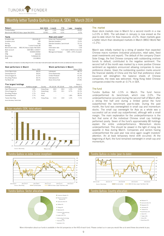

# Monthly letter Tundra QuAsia (class A, SEK) — March 2014<br>Return NAV (SEK) 1 month YTD 1 year Inception

| Return           |                                            | NAV (SEK) | 1 month                       | YTD     | 1 year | Inception                            |
|------------------|--------------------------------------------|-----------|-------------------------------|---------|--------|--------------------------------------|
| Tundra QuAsia    |                                            | 89.1      | $-1.5%$                       | $-4.9%$ |        | $-10.9%$                             |
|                  | Benchmark (MSCI AC Asia x Japan Net (SEK)) | 2278.5    | 2.0%                          | 0.2%    | ۰      | $-3.7%$                              |
| Facts            |                                            |           | Risk and costs*               |         |        |                                      |
| Inception date   | 2013-05-07                                 |           | Active risk (Tracking error)  |         |        | 9.6%                                 |
| Inception price  | 100                                        |           | Standard deviation            |         |        | 13.4%                                |
| Pricing          | Daily                                      |           | Standard deviation, benchmark |         |        | 15.1%                                |
| Manager          | Tundra Fonder AB                           |           | Beta                          |         |        | 0.69                                 |
| Benchmark index  | MSCI AC Asia ex Japan Net (SEK)            |           | Information ratio             |         |        | $-1.03$                              |
| Bank account     | SEB 5851-1100377                           |           | Risk level                    |         |        | 7 of 7 (refer to KIID for more info) |
| <b>ISIN</b>      | SE0005100492                               |           | Management fee/year           |         |        | $0.8\% + 20\%$ of outperf.           |
| <b>PPM</b>       | 640169                                     |           |                               |         |        |                                      |
| <b>Bloomberg</b> | <b>TUNDQUASS</b>                           |           |                               |         |        |                                      |
| AuM              | 15.9 MSEK                                  |           |                               |         |        |                                      |

*\* Risk indicators are based on monthly rolling 24 months of return data. Funds with inception date within 24 months use weekly return data since inception.*

| Best performers in March         | Worst performers in March |           |                          |           |              |                         |  |  |
|----------------------------------|---------------------------|-----------|--------------------------|-----------|--------------|-------------------------|--|--|
|                                  | Return (SEK)              |           |                          |           | Return (SEK) |                         |  |  |
| Union Bank India                 | 39.2%                     |           | Labixiaoxin              |           |              | $-48.7%$                |  |  |
| Oriental Bank Of                 | 39.0%                     |           | China Railsmedia         |           |              | $-47.7%$                |  |  |
| China Singyes So                 | 31.5%                     |           | <b>United Photovolt</b>  |           |              | $-41.9%$                |  |  |
| Shunfeng Photovo                 | 30.7%                     |           | International En         |           |              | $-35.7%$                |  |  |
| Fed Bank Ltd                     | 30.0%                     |           | Anxin-China Hold         |           |              | $-27.8%$                |  |  |
| Five largest holdings<br>Holding | Portfolio weight          | Country   | P/E 2013A                | P/F 2014F | Yield        | Return 1<br>month (SEK) |  |  |
|                                  |                           |           |                          |           |              |                         |  |  |
| Cspc Pharmaceuti                 | 1.8%                      | Hong Kong | 40.9                     | 30.3      | 1.2%         | $-0.8%$                 |  |  |
| China Singyes So                 | 1.7%                      | Hong Kong | 13.5                     | 10.1      | 0.7%         | 31.5%                   |  |  |
| Shunfeng Photovo                 | 1.7%                      | China     | ۰                        | ٠         |              | 30.7%                   |  |  |
| Oriental Bank Of                 | 1.7%                      | India     | $\overline{\phantom{a}}$ | ٠         | 1.8%         | 39.0%                   |  |  |
| Tianiin Dev Hldg                 | 1.7%                      | Hong Kong | 11.5                     | 14.9      | 1.2%         | 7.1%                    |  |  |
| Source: Bloomberg, Tundra Fonder |                           |           |                          |           |              |                         |  |  |







#### The market

Asian stock markets rose in March for a second month in a row (+2.0% in SEK). The sell-down in January is now erased as the year-to-date return for Asia measures +0.2%. Asian markets gave a better return than developed markets in March (MSCI World Net +1.2%).

March was initially marked by a string of weaker than expected Chinese macro numbers (industrial production, retail sales, fixed asset investments and export). The default of the company Chaori Solar Enegy, the first Chinese company with outstanding onshore bonds to default, contributed to the negative sentiment. The second half of the month was marked by a more positive Chinese sentiment as regulators announced allowing companies to issue preference shares. Given the outstanding question marks around the financial stability of China and the fact that preference share issuance will strengthen the balance sheets of Chinese companies, the news was welcomed. Hong Kong listed Chinese companies ended the month at -0.7% in SEK.

#### The fund

Tundra QuAsia fell -1.5% in March. The fund hence underperformed its benchmark, which rose 2.0%. The underperformance occurred during the second half of March after a strong first half and during a limited period the fund outperformed the benchmark year-to-date. During the past month, the fund was overweighted in small cap and momentum stocks. The small cap overweight for Asia as a whole was a successful call as small cap outperformed, although with a small margin. The main explanation for the underperformance is the fact that some of the individual Chinese small cap holdings performed poorly. Seven of the fund's approximately 80 holdings explain the entire underperformance. Momentum stocks underperformed. This should be viewed in the light of rising risk appetite in Asia during March. Companies and sectors having underperformed the past year now once again caught investors' attention. An at least temporary trend shift occurred. At the beginning of April, the fund remained overweight in small cap and momentum.



Tundra QuAsia MSCI AC Asia x Japan Total Return Net Source: Bloomberg



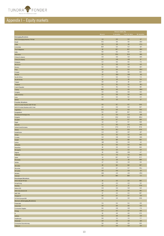

## Appendix I – Equity markets

|                                                             |               | Return SEK (%) |               |                    |  |
|-------------------------------------------------------------|---------------|----------------|---------------|--------------------|--|
|                                                             | <b>March</b>  | 3 months       | Year to date  | 12 months          |  |
| <b>Emerging Markets</b>                                     | 4,1           | 0,3            | 0,3           | $-1,7$             |  |
| M SCI Emerging M arkets TR Net<br>Brazil                    | 12,1          | 3,5            | 3,5           | $-13.4$            |  |
| Chile                                                       | 3,9           | $-1,6$         | $-1,6$        | $-27,4$            |  |
| Colombia                                                    | 16,9          | 5,4            | 5,4           | $-11,7$            |  |
| The Philippines                                             | 1,0           | 10,7<br>9,2    | 10,7<br>9,2   | $-10,3$<br>6,2     |  |
| India<br>Indonesia                                          | 9,8<br>6,5    | 22,4           | 22,4          | $-18,6$            |  |
| China (A shares)                                            | $-0,5$        | $-6,0$         | $-6,0$        | $-14,5$            |  |
| China (H shares)                                            | $-0,7$        | $-4,8$         | $-4,8$        | 1,7                |  |
| Malaysia                                                    | 2,4           | 0,5            | 0,5           | 7,5                |  |
| Morocco                                                     | 1,3           | 4,9            | 4,9           | 4,9                |  |
| Mexico<br>Peru                                              | 6,6<br>2,9    | $-5,0$<br>6,4  | $-5,0$<br>6,4 | $-10,7$<br>$-25,2$ |  |
| Poland                                                      | $-1,0$        | 3,6            | 3,6           | 19,4               |  |
| Russia                                                      | $-1,5$        | $-13,9$        | $-13,9$       | $-11,1$            |  |
| South Africa                                                | 7,7           | 5,4            | 5,4           | 7,4                |  |
| South Korea                                                 | 12            | $-1,5$         | $-1,5$        | 5,4                |  |
| Taiwan                                                      | 3,8<br>6,0    | 1,9<br>8,1     | 1,9<br>8,1    | 10,7<br>$-16,1$    |  |
| Thailand<br>Czech Republic                                  | 3,1           | 8,1            | 8,1           | 11,5               |  |
| Turkey                                                      | 18,0          | 4,0            | 4,0           | $-28,9$            |  |
| Hungary                                                     | 2,6           | $-8,6$         | $-8,6$        | $-8,4$             |  |
| Latin America                                               | 9,9           | 0,8            | 0,8           | $-14,3$            |  |
| Asia                                                        | 2,0           | 0,2            | 0,2           | $2,\!5$            |  |
| <b>EMEA</b>                                                 | 4,3           | $-1,2$         | $-1,2$        | $-1,7$             |  |
| <b>Frontier Markets</b><br>MSCI Frontier Markets 100 TR Net | 4,0           | 8,7            | 8,7           | 24,4               |  |
| MSCI Frontier Markets xGCC Net                              | 2,6           | $-0,2$         | $-0,2$        | 10,7               |  |
| Argentina                                                   | 17,6          | 6,3            | 6,3           | 70,2               |  |
| Bangladesh                                                  | 0,5           | 18,7           | 18,7          | 26,2               |  |
| Bosnia and Herzegovina                                      | $1,0$         | $-5,4$         | $-5,4$        | $-11,8$            |  |
| Bulgaria                                                    | 2,3           | 23,2           | 23,2          | 100,4              |  |
| Ecuador                                                     | 5,0<br>$-1,4$ | 6,7<br>9,7     | 6,7<br>9,7    | 10,0<br>31,8       |  |
| Egypt<br>Estonia                                            | $-5,7$        | $-8,2$         | $-8,2$        | $-12,0$            |  |
| United Arab Emirates                                        | 7,3           | 27,3           | 27,3          | 87,8               |  |
| Ghana                                                       | $-0,4$        | 12,1           | 12,1          | 37,0               |  |
| Kazakhstan                                                  | $-4,4$        | $-13,7$        | $-13,7$       | $-11,7$            |  |
| Kenya                                                       | 5,5<br>$-3.2$ | 3,2<br>$-5,8$  | 3,2<br>$-5,8$ | 17,6<br>$-10,6$    |  |
| Croatia<br>Kuwait                                           | 8,0           | 11,9           | 11,9          | 16,2               |  |
| Latvia                                                      | $-11,8$       | $-9,0$         | $-9,0$        | $-1,4$             |  |
| Lithuania                                                   | $1,0$         | 6,4            | 6,4           | 16,2               |  |
| <b>M</b> auritius                                           | 1,8           | 2,5            | 2,5           | 16,5               |  |
| Mongolia                                                    | 0,0           | 2,2            | 2,2           | 4,3                |  |
| Nigeria                                                     | 10<br>9,7     | $-10,6$        | $-10,6$       | $-4,7$             |  |
| Pakistan<br>Qatar                                           | 1,1           | 7,6<br>15,7    | 7,6<br>15,7   | 38,2<br>37,7       |  |
| Romania                                                     | $-1,1$        | $-1,5$         | $-1,5$        | 18,9               |  |
| Serbia                                                      | $-1,7$        | $-3,0$         | $-3,0$        | 3,6                |  |
| Slovakia                                                    | 1,8           | 11,4           | 11,4          | 19,7               |  |
| Slovenia                                                    | $-2,0$        | 0,7            | 0,7           | 35,1               |  |
| Sri Lanka                                                   | 4,8           | $-0,4$         | $-0,4$        | $-1,3$             |  |
| Ukraine                                                     | $-18,3$       | $-4,5$         | $-4,5$        | $-25,5$            |  |
| Vietnam                                                     | $-1,5$        | 18,0           | 18,0          | 7,2                |  |
| <b>Developed Markets</b><br>M SCI World TR Net              | 12            | 2,2            | 2,2           | 18,5               |  |
| Hong Kong                                                   | $-1,2$        | $-2,2$         | $-2,2$        | 3,2                |  |
| Nasdaq                                                      | $-1,5$        | 1,7            | $1,7$         | 27,9               |  |
| Nikkei 225                                                  | $-0,3$        | $-5,0$         | $-5,0$        | 6,9                |  |
| OM X Stockholm 30                                           | 0,6           | 3,3            | 3,3           | 16,1               |  |
| S&P 500                                                     | 1,7           | 2,4            | 2,4           | 18,7               |  |
| Singapore                                                   | 3,6<br>0,0    | 0,7<br>2,9     | 0,7<br>2,9    | $-2,6$<br>23,9     |  |
| STOXX Europe 600<br><b>Sectors (Emerging Markets)</b>       |               |                |               |                    |  |
| Financials                                                  | 6,1           | 0,4            | 0,4           | $-6,5$             |  |
| Industrials                                                 | 3,9           | 0,6            | 0,6           | $-0,3$             |  |
| Consumer Staples                                            | 6,6           | $-0,8$         | $-0,8$        | $-7,3$             |  |
| Energy                                                      | 4,7           | $-3,7$         | $-3,7$        | $-9,9$             |  |
| IΠ<br>Utilities                                             | $1,0$<br>5,2  | 4,8<br>3,8     | 4,8<br>3,8    | 17,3<br>$-2,8$     |  |
| Healthcare                                                  | 0,8           | 2,1            | 2,1           | 7,7                |  |
| <b>Materials</b>                                            | 2,8           | $-3,0$         | $-3,0$        | $-11,4$            |  |
| Consumer Discretionary                                      | 3,6           | 4,9            | 4,9           | 12,0               |  |
| Telecom                                                     | 3,7           | $-5,4$         | $-5,4$        | $-3,0$             |  |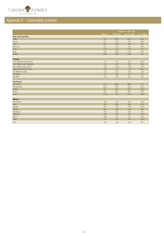

## Appendix II – Commodity markets

| $\mathsf{c}$ muix II $\pm$ Guimmuury mark $\mathsf{c}$ is |         |                   |                                 |         |  |
|-----------------------------------------------------------|---------|-------------------|---------------------------------|---------|--|
|                                                           |         |                   |                                 |         |  |
|                                                           |         |                   |                                 |         |  |
|                                                           |         | Return in USD (%) |                                 |         |  |
|                                                           | March   |                   | 3 months Year to date 12 months |         |  |
| Soft commodities                                          |         |                   |                                 |         |  |
| Coffe                                                     | $-1,1$  | 55,1              | 55,1                            | 29,7    |  |
| Cocoa                                                     | 0,7     | 9,0               | 9,0                             | 36,2    |  |
| Corn                                                      | 8,3     | 16,3              | 16,3                            | $-9,6$  |  |
| Palm oil                                                  | $-3,3$  | 5,5               | 5,5                             | 8,9     |  |
| Rice                                                      | 1,5     | 1,0               | 1,0                             | 1,6     |  |
| Soya                                                      | 3,5     | 13,3              | 13,3                            | 16,3    |  |
| Wheat                                                     | 15.8    | 14.8              | 14,8                            | $-4,4$  |  |
|                                                           |         |                   |                                 |         |  |
| <b>Energy</b>                                             |         |                   |                                 |         |  |
| Cool (cooking coal, China)                                | $-0,7$  | $-2,0$            | $-2,0$                          | $-20,3$ |  |
| Cool (steam coal, Australia)                              | $-4,1$  | $-13,7$           | $-13,7$                         | $-16,9$ |  |
| Cool (steam coal, China)                                  | $-2,6$  | $-12,0$           | $-12,0$                         | $-11,4$ |  |
| Natural Gas (Henry Hub)                                   | $-5,2$  | $-1,3$            | $-1,3$                          | 8,6     |  |
| Oil (Arabian Light)                                       | $-1,2$  | $-5,5$            | $-5,5$                          | $-2,5$  |  |
| Oil (Brent)                                               | $-1,2$  | $-3,1$            | $-3,1$                          | $-2,1$  |  |
| Oil (WTI)                                                 | $-1,0$  | 2,3               | 2,3                             | 4,5     |  |
|                                                           |         |                   |                                 |         |  |
| Fertilizers                                               |         |                   |                                 |         |  |
| Ammonia                                                   | 26.1    | 28,9              | 28,9                            | $-7,2$  |  |
| Phosphorus                                                | 16.4    | 16,4              | 16,4                            | $-22,4$ |  |
| Potash                                                    | 0.0     | 0,5               | 0,5                             | $-19,3$ |  |
| Sulfur                                                    | 0,0     | 46,7              | 46,7                            | $-26,7$ |  |
| Urea                                                      | $-12,3$ | $-11,6$           | $-11,6$                         | $-23,4$ |  |
|                                                           |         |                   |                                 |         |  |
| <b>Metals</b>                                             |         |                   |                                 |         |  |
| Aluminum                                                  | 1,8     | $-2,0$            | $-2,0$                          | $-6,3$  |  |
| Gold                                                      | $-3,0$  | 6,8               | 6,8                             | $-19,3$ |  |
| Copper                                                    | $-5,2$  | $-9,9$            | $-9,9$                          | $-11,9$ |  |
| Nickel                                                    | 8,0     | 12,6              | 12,6                            | $-4,6$  |  |
| Palladium                                                 | 4,6     | 9,3               | 9,3                             | 0,6     |  |
| Platinum                                                  | $-2,0$  | 3,9               | 3,9                             | $-9,9$  |  |
| Silver                                                    | $-6,8$  | 0,7               | 0,7                             | $-30,2$ |  |
| Steel                                                     | $-1,2$  | $-4,6$            | $-4,6$                          | $-11,0$ |  |
| Zinc                                                      | $-4,3$  | $-4,9$            | $-4,9$                          | 4,5     |  |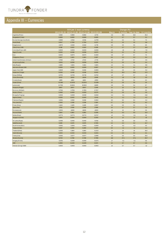

## Appendix III – Currencies

| vendix III – Currencies       |         |                          |                                             |         |              |         |                                 |         |  |
|-------------------------------|---------|--------------------------|---------------------------------------------|---------|--------------|---------|---------------------------------|---------|--|
|                               |         |                          |                                             |         |              |         |                                 |         |  |
|                               |         |                          |                                             |         |              |         |                                 |         |  |
|                               |         | SEK per 1 local currency |                                             |         | Change (%)   |         |                                 |         |  |
|                               |         |                          | 2014-03-31 2013-12-30 2013-12-30 2013-03-28 |         | <b>March</b> |         | 3 months Year to date 12 months |         |  |
| Argentina (Peso)              | 0,8104  | 0,9882                   | 0,9882                                      | 12726   | $-0,6$       | $-18,0$ | $-18,0$                         | $-36,3$ |  |
| Bangladesh (Taka)             | 0,0836  | 0,0830                   | 0,0830                                      | 0,0835  | 1,2          | 0,7     | 0,7                             | 0,1     |  |
| Bosnia Hercegovina (Mark)     | 4,5683  | 4,5514                   | 4,5514                                      | 4,2709  | 0,8          | 0,4     | 0,4                             | 7,0     |  |
| Brazil (Real)                 | 2,8547  | 2,7304                   | 2,7304                                      | 3,2237  | 4.2          | 4,6     | 4,6                             | $-11,4$ |  |
| Bulgaria (Lev)                | 4,5670  | 4,5462                   | 4,5462                                      | 4,2715  | 0,8          | 0,5     | 0,5                             | 6,9     |  |
| Chile (Peso) X100             | 0,0118  | 0,0123                   | 0,0123                                      | 0,0138  | 2,7          | $-3,7$  | $-3,7$                          | $-14,6$ |  |
| Colombia (Peso) x100          | 0,0033  | 0,0033                   | 0,0033                                      | 0,0036  | 4,9          | $-1,6$  | $-1,6$                          | $-7,8$  |  |
| Egypt (Pound)                 | 0,9305  | 0,9286                   | 0,9286                                      | 0,9579  | 0.9          | 0,2     | 0.2                             | $-2,9$  |  |
| Euro                          | 8,9202  | 8,8575                   | 8,8575                                      | 8,3400  | 0,8          | 0,7     | 0,7                             | 7,0     |  |
| Philippines (Peso)            | 0,1447  | 0,1451                   | 0,1451                                      | 0,1597  | 0,6          | $-0.3$  | $-0,3$                          | $-9,4$  |  |
| United Arab Emirates (Dirham) | 1,7658  | 1,7542                   | 1,7542                                      | 1,7745  | 1,0          | 0,7     | 0,7                             | $-0,5$  |  |
| Hong Kong (Dollar)            | 0,8361  | 0,8308                   | 0,8308                                      | 0,8396  | 1,1          | 0,6     | 0,6                             | $-0,4$  |  |
| India (Rupee)                 | 0,1083  | 0,1041                   | 0,1041                                      | 0,1201  | 4.2          | 4,1     | 4,1                             | $-9,8$  |  |
| Indonesia (Rupia) X100        | 0,0006  | 0,0005                   | 0,0005                                      | 0,0007  | 3.2          | 8.2     | 8.2                             | $-14,7$ |  |
| Japan (Yen) X100              | 0,0629  | 0,0613                   | 0,0613                                      | 0,0693  | $-0,2$       | 2,6     | 2,6                             | $-9.2$  |  |
| Kazakstan (Tenge)             | 0,0356  | 0,0419                   | 0,0419                                      | 0,0432  | 2,3          | $-15,0$ | $-15,0$                         | $-17,5$ |  |
| Kenya (Shilling)              | 0,0752  | 0,0746                   | 0,0746                                      | 0,0762  | 1,0          | 0,7     | 0,7                             | $-1,4$  |  |
| China (Renminbi)              | 1,0432  | 1,0628                   | 1,0628                                      | 1,0488  | $-0.1$       | $-1,8$  | $-1,8$                          | $-0,5$  |  |
| Croatia (Kuna)                | 1,1685  | 1,1662                   | 1,1662                                      | 1,0992  | 0,9          | 0,2     | 0,2                             | 6,3     |  |
| Kuwait (Dinar)                | 23,0165 | 22,8253                  | 22,8253                                     | 22,8136 | 1,0          | 0,8     | 0,8                             | 0,9     |  |
| Latvia (Lati)                 | 12,7094 | 12,6604                  | 12,6604                                     | 11,9105 | 0,8          | 0,4     | 0,4                             | 6,7     |  |
| Malaysia (Ringgit)            | 1,9867  | 1,9557                   | 1,9557                                      | 2,1048  | 1,4          | 1,6     | 16                              | $-5,6$  |  |
| Morocco (Dirham)              | 0,7941  | 0,7901                   | 0,7901                                      | 0,7527  | 0,9          | 0,5     | 0,5                             | 5,5     |  |
| Mexico (Peso)                 | 0,4968  | 0,4929                   | 0,4929                                      | 0,5276  | 2,5          | 0,8     | 0,8                             | $-5,8$  |  |
| Mongolia (Togrog)             | 0,0036  | 0,0039                   | 0,0039                                      | 0,0046  | $-0,4$       | $-6,1$  | $-6,1$                          | $-21,0$ |  |
| Nigeria (Naira)               | 0,0393  | 0,0402                   | 0,0402                                      | 0,0411  | 1,2          | $-2,1$  | $-2,1$                          | $-4,3$  |  |
| Pakistan (Rupee)              | 0.0661  | 0.0610                   | 0.0610                                      | 0.0662  | 8.0          | 8.3     | 8.3                             | $-0.2$  |  |
| Peru (new Sol)                | 2,3093  | 2,3019                   | 2,3019                                      | 2,5164  | 0,7          | 0,3     | 0,3                             | $-8,2$  |  |
| Polan (Zloty)                 | 2,1444  | 2,1435                   | 2,1435                                      | 2,0007  | 0,6          | 0,0     | 0,0                             | 7,2     |  |
| Qatar (Rial)                  | 1,7811  | 1,7696                   | 1,7696                                      | 1,7899  | 1,0          | 0,7     | 0,7                             | $-0,5$  |  |
| Romania (Lei)                 | 2,0021  | 1,9830                   | 1,9830                                      | 1,8920  | 1,8          | 1,0     | 10                              | 5,8     |  |
| Russia (Rubel)                | 0,1844  | 0,1962                   | 0,1962                                      | 0,2096  | 3,0          | $-6,0$  | $-6,0$                          | $-12,0$ |  |
| Serbia (Dinar)                | 0,0774  | 0,0774                   | 0,0774                                      | 0,0747  | 1,2          | $-0,1$  | $-0,1$                          | 3,6     |  |
| Singapore (Dollar)            | 5,1543  | 5,0840                   | 5,0840                                      | 5,2555  | 1,8          | 1,4     | 1,4                             | $-1,9$  |  |
|                               |         |                          |                                             |         |              |         |                                 |         |  |
| Sri Lanka (Rupe)              | 0,0496  | 0,0492                   | 0,0492                                      | 0,0514  | 1,1          | 0,8     | 0,8                             | $-3,5$  |  |
| Sydafrika (rand)              | 0,6165  | 0,6176                   | 0,6176                                      | 0,7065  | 3,3          | $-0.2$  | $-0,2$                          | $-12,7$ |  |
| South Korea (Won)             | 0,0061  | 0,0061                   | 0,0061                                      | 0,0059  | 1,3          | $-0,2$  | $-0,2$                          | 4,0     |  |
| Taiwan (Dollar)               | 0,2127  | 0,2150                   | 0,2150                                      | 0,2179  | 0,5          | $-1,1$  | $-1,1$                          | $-2,4$  |  |
| Thailand (Bhat)               | 0,2000  | 0,1963                   | 0,1963                                      | 0,2223  | 1,4          | 1,9     | 19                              | $-10.0$ |  |
| Czech (Koruny)                | 0,3254  | 0,3244                   | 0,3244                                      | 0,3241  | 0.4          | 0,3     | 0,3                             | 0,4     |  |
| Turkey (Lira)                 | 3,0363  | 3,0377                   | 3,0377                                      | 3,5986  | 4,3          | 0,0     | 0,0                             | $-15,6$ |  |
| Ukraine (Hryvnia)             | 0,5702  | 0,7819                   | 0,7819                                      | 0,7998  | $-11,6$      | $-27,1$ | $-27,1$                         | $-28,7$ |  |
| Hungary (Forint)              | 0,0291  | 0,0300                   | 0,0300                                      | 0,0275  | 1,7          | $-3,1$  | $-3,1$                          | 5,8     |  |
| <b>USD</b>                    | 6,4856  | 6,4429                   | 6,4429                                      | 6,5174  | 1,0          | 0,7     | 0,7                             | $-0,5$  |  |
| Vietnam (Dong) X1000          | 0,0003  | 0,0003                   | 0,0003                                      | 0,0003  | 1,0          | 0,7     | 0,7                             | $-1,2$  |  |